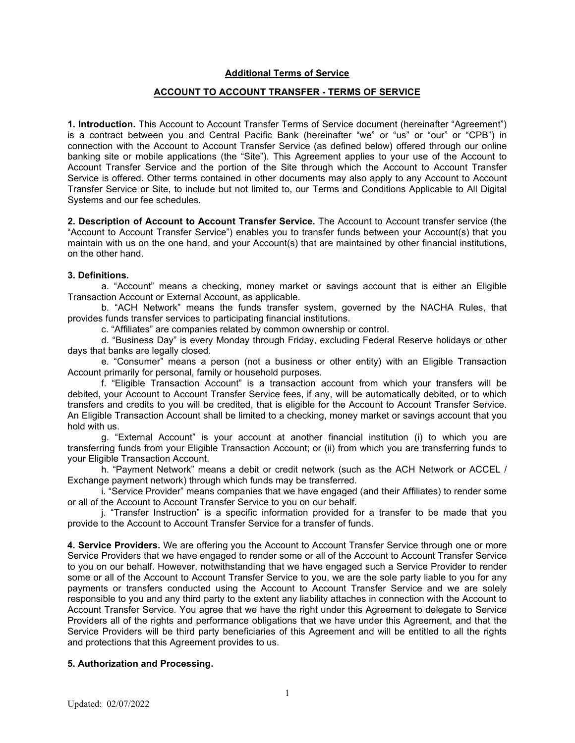## **Additional Terms of Service**

# **ACCOUNT TO ACCOUNT TRANSFER - TERMS OF SERVICE**

**1. Introduction.** This Account to Account Transfer Terms of Service document (hereinafter "Agreement") is a contract between you and Central Pacific Bank (hereinafter "we" or "us" or "our" or "CPB") in connection with the Account to Account Transfer Service (as defined below) offered through our online banking site or mobile applications (the "Site"). This Agreement applies to your use of the Account to Account Transfer Service and the portion of the Site through which the Account to Account Transfer Service is offered. Other terms contained in other documents may also apply to any Account to Account Transfer Service or Site, to include but not limited to, our Terms and Conditions Applicable to All Digital Systems and our fee schedules.

**2. Description of Account to Account Transfer Service.** The Account to Account transfer service (the "Account to Account Transfer Service") enables you to transfer funds between your Account(s) that you maintain with us on the one hand, and your Account(s) that are maintained by other financial institutions, on the other hand.

#### **3. Definitions.**

a. "Account" means a checking, money market or savings account that is either an Eligible Transaction Account or External Account, as applicable.

b. "ACH Network" means the funds transfer system, governed by the NACHA Rules, that provides funds transfer services to participating financial institutions.

c. "Affiliates" are companies related by common ownership or control.

d. "Business Day" is every Monday through Friday, excluding Federal Reserve holidays or other days that banks are legally closed.

e. "Consumer" means a person (not a business or other entity) with an Eligible Transaction Account primarily for personal, family or household purposes.

f. "Eligible Transaction Account" is a transaction account from which your transfers will be debited, your Account to Account Transfer Service fees, if any, will be automatically debited, or to which transfers and credits to you will be credited, that is eligible for the Account to Account Transfer Service. An Eligible Transaction Account shall be limited to a checking, money market or savings account that you hold with us.

g. "External Account" is your account at another financial institution (i) to which you are transferring funds from your Eligible Transaction Account; or (ii) from which you are transferring funds to your Eligible Transaction Account.

h. "Payment Network" means a debit or credit network (such as the ACH Network or ACCEL / Exchange payment network) through which funds may be transferred.

i. "Service Provider" means companies that we have engaged (and their Affiliates) to render some or all of the Account to Account Transfer Service to you on our behalf.

j. "Transfer Instruction" is a specific information provided for a transfer to be made that you provide to the Account to Account Transfer Service for a transfer of funds.

**4. Service Providers.** We are offering you the Account to Account Transfer Service through one or more Service Providers that we have engaged to render some or all of the Account to Account Transfer Service to you on our behalf. However, notwithstanding that we have engaged such a Service Provider to render some or all of the Account to Account Transfer Service to you, we are the sole party liable to you for any payments or transfers conducted using the Account to Account Transfer Service and we are solely responsible to you and any third party to the extent any liability attaches in connection with the Account to Account Transfer Service. You agree that we have the right under this Agreement to delegate to Service Providers all of the rights and performance obligations that we have under this Agreement, and that the Service Providers will be third party beneficiaries of this Agreement and will be entitled to all the rights and protections that this Agreement provides to us.

### **5. Authorization and Processing.**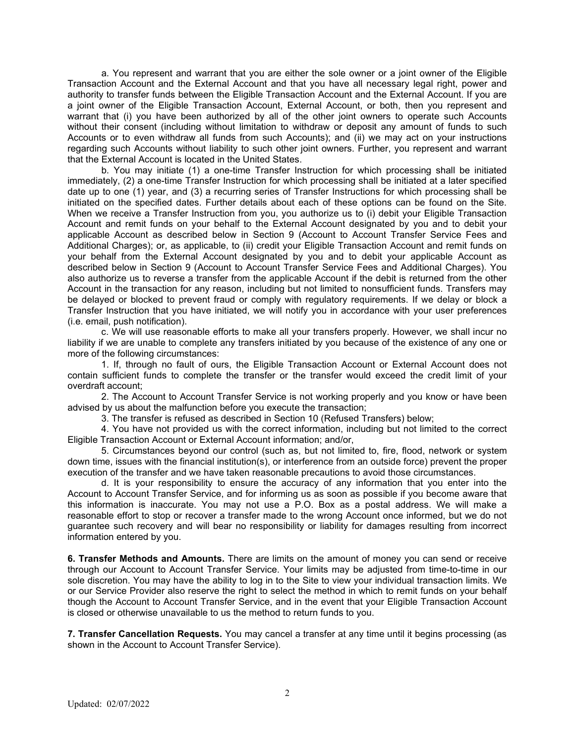a. You represent and warrant that you are either the sole owner or a joint owner of the Eligible Transaction Account and the External Account and that you have all necessary legal right, power and authority to transfer funds between the Eligible Transaction Account and the External Account. If you are a joint owner of the Eligible Transaction Account, External Account, or both, then you represent and warrant that (i) you have been authorized by all of the other joint owners to operate such Accounts without their consent (including without limitation to withdraw or deposit any amount of funds to such Accounts or to even withdraw all funds from such Accounts); and (ii) we may act on your instructions regarding such Accounts without liability to such other joint owners. Further, you represent and warrant that the External Account is located in the United States.

b. You may initiate (1) a one-time Transfer Instruction for which processing shall be initiated immediately, (2) a one-time Transfer Instruction for which processing shall be initiated at a later specified date up to one (1) year, and (3) a recurring series of Transfer Instructions for which processing shall be initiated on the specified dates. Further details about each of these options can be found on the Site. When we receive a Transfer Instruction from you, you authorize us to (i) debit your Eligible Transaction Account and remit funds on your behalf to the External Account designated by you and to debit your applicable Account as described below in Section 9 (Account to Account Transfer Service Fees and Additional Charges); or, as applicable, to (ii) credit your Eligible Transaction Account and remit funds on your behalf from the External Account designated by you and to debit your applicable Account as described below in Section 9 (Account to Account Transfer Service Fees and Additional Charges). You also authorize us to reverse a transfer from the applicable Account if the debit is returned from the other Account in the transaction for any reason, including but not limited to nonsufficient funds. Transfers may be delayed or blocked to prevent fraud or comply with regulatory requirements. If we delay or block a Transfer Instruction that you have initiated, we will notify you in accordance with your user preferences (i.e. email, push notification).

c. We will use reasonable efforts to make all your transfers properly. However, we shall incur no liability if we are unable to complete any transfers initiated by you because of the existence of any one or more of the following circumstances:

1. If, through no fault of ours, the Eligible Transaction Account or External Account does not contain sufficient funds to complete the transfer or the transfer would exceed the credit limit of your overdraft account;

2. The Account to Account Transfer Service is not working properly and you know or have been advised by us about the malfunction before you execute the transaction;

3. The transfer is refused as described in Section 10 (Refused Transfers) below;

4. You have not provided us with the correct information, including but not limited to the correct Eligible Transaction Account or External Account information; and/or,

5. Circumstances beyond our control (such as, but not limited to, fire, flood, network or system down time, issues with the financial institution(s), or interference from an outside force) prevent the proper execution of the transfer and we have taken reasonable precautions to avoid those circumstances.

d. It is your responsibility to ensure the accuracy of any information that you enter into the Account to Account Transfer Service, and for informing us as soon as possible if you become aware that this information is inaccurate. You may not use a P.O. Box as a postal address. We will make a reasonable effort to stop or recover a transfer made to the wrong Account once informed, but we do not guarantee such recovery and will bear no responsibility or liability for damages resulting from incorrect information entered by you.

**6. Transfer Methods and Amounts.** There are limits on the amount of money you can send or receive through our Account to Account Transfer Service. Your limits may be adjusted from time-to-time in our sole discretion. You may have the ability to log in to the Site to view your individual transaction limits. We or our Service Provider also reserve the right to select the method in which to remit funds on your behalf though the Account to Account Transfer Service, and in the event that your Eligible Transaction Account is closed or otherwise unavailable to us the method to return funds to you.

**7. Transfer Cancellation Requests.** You may cancel a transfer at any time until it begins processing (as shown in the Account to Account Transfer Service).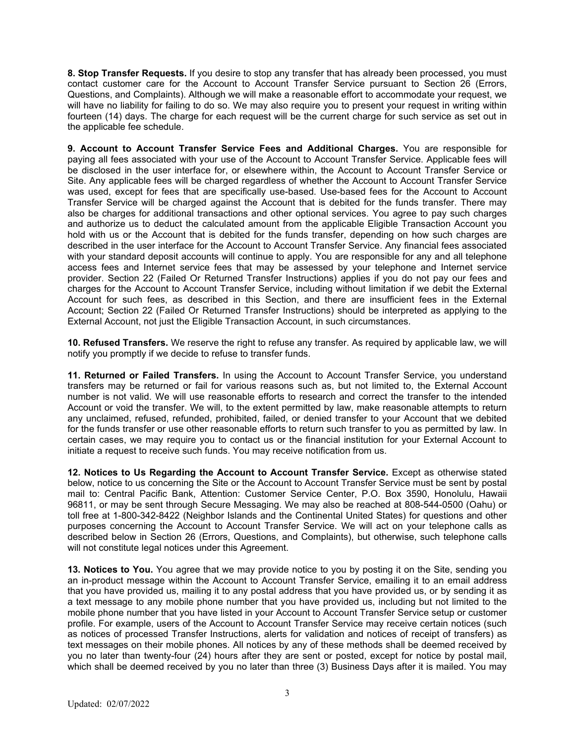**8. Stop Transfer Requests.** If you desire to stop any transfer that has already been processed, you must contact customer care for the Account to Account Transfer Service pursuant to Section 26 (Errors, Questions, and Complaints). Although we will make a reasonable effort to accommodate your request, we will have no liability for failing to do so. We may also require you to present your request in writing within fourteen (14) days. The charge for each request will be the current charge for such service as set out in the applicable fee schedule.

**9. Account to Account Transfer Service Fees and Additional Charges.** You are responsible for paying all fees associated with your use of the Account to Account Transfer Service. Applicable fees will be disclosed in the user interface for, or elsewhere within, the Account to Account Transfer Service or Site. Any applicable fees will be charged regardless of whether the Account to Account Transfer Service was used, except for fees that are specifically use-based. Use-based fees for the Account to Account Transfer Service will be charged against the Account that is debited for the funds transfer. There may also be charges for additional transactions and other optional services. You agree to pay such charges and authorize us to deduct the calculated amount from the applicable Eligible Transaction Account you hold with us or the Account that is debited for the funds transfer, depending on how such charges are described in the user interface for the Account to Account Transfer Service. Any financial fees associated with your standard deposit accounts will continue to apply. You are responsible for any and all telephone access fees and Internet service fees that may be assessed by your telephone and Internet service provider. Section 22 (Failed Or Returned Transfer Instructions) applies if you do not pay our fees and charges for the Account to Account Transfer Service, including without limitation if we debit the External Account for such fees, as described in this Section, and there are insufficient fees in the External Account; Section 22 (Failed Or Returned Transfer Instructions) should be interpreted as applying to the External Account, not just the Eligible Transaction Account, in such circumstances.

**10. Refused Transfers.** We reserve the right to refuse any transfer. As required by applicable law, we will notify you promptly if we decide to refuse to transfer funds.

**11. Returned or Failed Transfers.** In using the Account to Account Transfer Service, you understand transfers may be returned or fail for various reasons such as, but not limited to, the External Account number is not valid. We will use reasonable efforts to research and correct the transfer to the intended Account or void the transfer. We will, to the extent permitted by law, make reasonable attempts to return any unclaimed, refused, refunded, prohibited, failed, or denied transfer to your Account that we debited for the funds transfer or use other reasonable efforts to return such transfer to you as permitted by law. In certain cases, we may require you to contact us or the financial institution for your External Account to initiate a request to receive such funds. You may receive notification from us.

**12. Notices to Us Regarding the Account to Account Transfer Service.** Except as otherwise stated below, notice to us concerning the Site or the Account to Account Transfer Service must be sent by postal mail to: Central Pacific Bank, Attention: Customer Service Center, P.O. Box 3590, Honolulu, Hawaii 96811, or may be sent through Secure Messaging. We may also be reached at 808-544-0500 (Oahu) or toll free at 1-800-342-8422 (Neighbor Islands and the Continental United States) for questions and other purposes concerning the Account to Account Transfer Service. We will act on your telephone calls as described below in Section 26 (Errors, Questions, and Complaints), but otherwise, such telephone calls will not constitute legal notices under this Agreement.

**13. Notices to You.** You agree that we may provide notice to you by posting it on the Site, sending you an in-product message within the Account to Account Transfer Service, emailing it to an email address that you have provided us, mailing it to any postal address that you have provided us, or by sending it as a text message to any mobile phone number that you have provided us, including but not limited to the mobile phone number that you have listed in your Account to Account Transfer Service setup or customer profile. For example, users of the Account to Account Transfer Service may receive certain notices (such as notices of processed Transfer Instructions, alerts for validation and notices of receipt of transfers) as text messages on their mobile phones. All notices by any of these methods shall be deemed received by you no later than twenty-four (24) hours after they are sent or posted, except for notice by postal mail, which shall be deemed received by you no later than three (3) Business Days after it is mailed. You may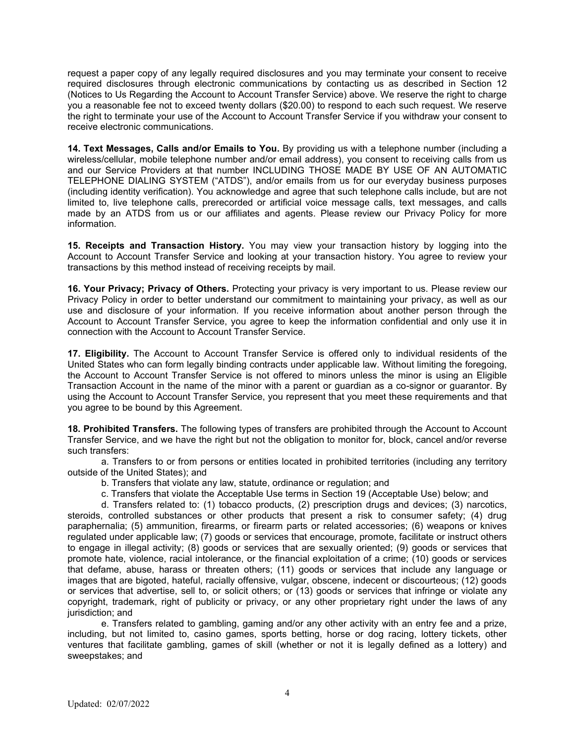request a paper copy of any legally required disclosures and you may terminate your consent to receive required disclosures through electronic communications by contacting us as described in Section 12 (Notices to Us Regarding the Account to Account Transfer Service) above. We reserve the right to charge you a reasonable fee not to exceed twenty dollars (\$20.00) to respond to each such request. We reserve the right to terminate your use of the Account to Account Transfer Service if you withdraw your consent to receive electronic communications.

**14. Text Messages, Calls and/or Emails to You.** By providing us with a telephone number (including a wireless/cellular, mobile telephone number and/or email address), you consent to receiving calls from us and our Service Providers at that number INCLUDING THOSE MADE BY USE OF AN AUTOMATIC TELEPHONE DIALING SYSTEM ("ATDS"), and/or emails from us for our everyday business purposes (including identity verification). You acknowledge and agree that such telephone calls include, but are not limited to, live telephone calls, prerecorded or artificial voice message calls, text messages, and calls made by an ATDS from us or our affiliates and agents. Please review our Privacy Policy for more information.

**15. Receipts and Transaction History.** You may view your transaction history by logging into the Account to Account Transfer Service and looking at your transaction history. You agree to review your transactions by this method instead of receiving receipts by mail.

**16. Your Privacy; Privacy of Others.** Protecting your privacy is very important to us. Please review our Privacy Policy in order to better understand our commitment to maintaining your privacy, as well as our use and disclosure of your information. If you receive information about another person through the Account to Account Transfer Service, you agree to keep the information confidential and only use it in connection with the Account to Account Transfer Service.

**17. Eligibility.** The Account to Account Transfer Service is offered only to individual residents of the United States who can form legally binding contracts under applicable law. Without limiting the foregoing, the Account to Account Transfer Service is not offered to minors unless the minor is using an Eligible Transaction Account in the name of the minor with a parent or guardian as a co-signor or guarantor. By using the Account to Account Transfer Service, you represent that you meet these requirements and that you agree to be bound by this Agreement.

**18. Prohibited Transfers.** The following types of transfers are prohibited through the Account to Account Transfer Service, and we have the right but not the obligation to monitor for, block, cancel and/or reverse such transfers:

a. Transfers to or from persons or entities located in prohibited territories (including any territory outside of the United States); and

- b. Transfers that violate any law, statute, ordinance or regulation; and
- c. Transfers that violate the Acceptable Use terms in Section 19 (Acceptable Use) below; and

d. Transfers related to: (1) tobacco products, (2) prescription drugs and devices; (3) narcotics, steroids, controlled substances or other products that present a risk to consumer safety; (4) drug paraphernalia; (5) ammunition, firearms, or firearm parts or related accessories; (6) weapons or knives regulated under applicable law; (7) goods or services that encourage, promote, facilitate or instruct others to engage in illegal activity; (8) goods or services that are sexually oriented; (9) goods or services that promote hate, violence, racial intolerance, or the financial exploitation of a crime; (10) goods or services that defame, abuse, harass or threaten others; (11) goods or services that include any language or images that are bigoted, hateful, racially offensive, vulgar, obscene, indecent or discourteous; (12) goods or services that advertise, sell to, or solicit others; or (13) goods or services that infringe or violate any copyright, trademark, right of publicity or privacy, or any other proprietary right under the laws of any iurisdiction; and

e. Transfers related to gambling, gaming and/or any other activity with an entry fee and a prize, including, but not limited to, casino games, sports betting, horse or dog racing, lottery tickets, other ventures that facilitate gambling, games of skill (whether or not it is legally defined as a lottery) and sweepstakes; and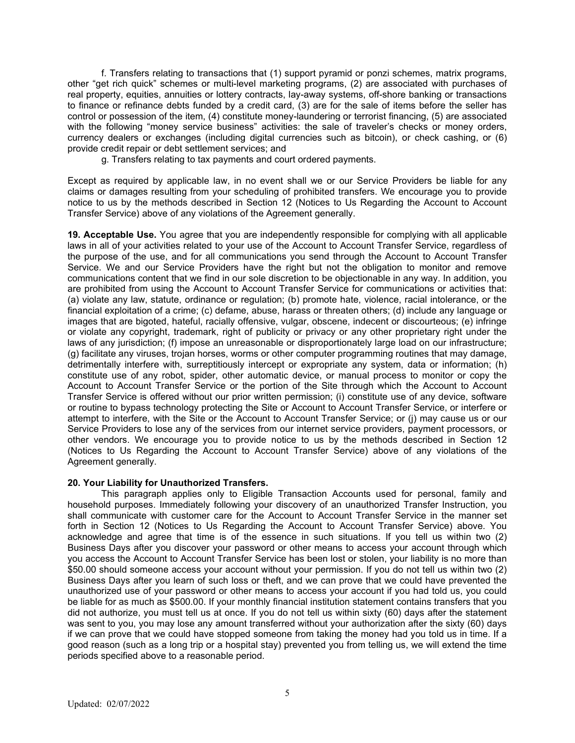f. Transfers relating to transactions that (1) support pyramid or ponzi schemes, matrix programs, other "get rich quick" schemes or multi-level marketing programs, (2) are associated with purchases of real property, equities, annuities or lottery contracts, lay-away systems, off-shore banking or transactions to finance or refinance debts funded by a credit card, (3) are for the sale of items before the seller has control or possession of the item, (4) constitute money-laundering or terrorist financing, (5) are associated with the following "money service business" activities: the sale of traveler's checks or money orders, currency dealers or exchanges (including digital currencies such as bitcoin), or check cashing, or (6) provide credit repair or debt settlement services; and

g. Transfers relating to tax payments and court ordered payments.

Except as required by applicable law, in no event shall we or our Service Providers be liable for any claims or damages resulting from your scheduling of prohibited transfers. We encourage you to provide notice to us by the methods described in Section 12 (Notices to Us Regarding the Account to Account Transfer Service) above of any violations of the Agreement generally.

**19. Acceptable Use.** You agree that you are independently responsible for complying with all applicable laws in all of your activities related to your use of the Account to Account Transfer Service, regardless of the purpose of the use, and for all communications you send through the Account to Account Transfer Service. We and our Service Providers have the right but not the obligation to monitor and remove communications content that we find in our sole discretion to be objectionable in any way. In addition, you are prohibited from using the Account to Account Transfer Service for communications or activities that: (a) violate any law, statute, ordinance or regulation; (b) promote hate, violence, racial intolerance, or the financial exploitation of a crime; (c) defame, abuse, harass or threaten others; (d) include any language or images that are bigoted, hateful, racially offensive, vulgar, obscene, indecent or discourteous; (e) infringe or violate any copyright, trademark, right of publicity or privacy or any other proprietary right under the laws of any jurisdiction; (f) impose an unreasonable or disproportionately large load on our infrastructure; (g) facilitate any viruses, trojan horses, worms or other computer programming routines that may damage, detrimentally interfere with, surreptitiously intercept or expropriate any system, data or information; (h) constitute use of any robot, spider, other automatic device, or manual process to monitor or copy the Account to Account Transfer Service or the portion of the Site through which the Account to Account Transfer Service is offered without our prior written permission; (i) constitute use of any device, software or routine to bypass technology protecting the Site or Account to Account Transfer Service, or interfere or attempt to interfere, with the Site or the Account to Account Transfer Service; or (j) may cause us or our Service Providers to lose any of the services from our internet service providers, payment processors, or other vendors. We encourage you to provide notice to us by the methods described in Section 12 (Notices to Us Regarding the Account to Account Transfer Service) above of any violations of the Agreement generally.

### **20. Your Liability for Unauthorized Transfers.**

This paragraph applies only to Eligible Transaction Accounts used for personal, family and household purposes. Immediately following your discovery of an unauthorized Transfer Instruction, you shall communicate with customer care for the Account to Account Transfer Service in the manner set forth in Section 12 (Notices to Us Regarding the Account to Account Transfer Service) above. You acknowledge and agree that time is of the essence in such situations. If you tell us within two (2) Business Days after you discover your password or other means to access your account through which you access the Account to Account Transfer Service has been lost or stolen, your liability is no more than \$50.00 should someone access your account without your permission. If you do not tell us within two (2) Business Days after you learn of such loss or theft, and we can prove that we could have prevented the unauthorized use of your password or other means to access your account if you had told us, you could be liable for as much as \$500.00. If your monthly financial institution statement contains transfers that you did not authorize, you must tell us at once. If you do not tell us within sixty (60) days after the statement was sent to you, you may lose any amount transferred without your authorization after the sixty (60) days if we can prove that we could have stopped someone from taking the money had you told us in time. If a good reason (such as a long trip or a hospital stay) prevented you from telling us, we will extend the time periods specified above to a reasonable period.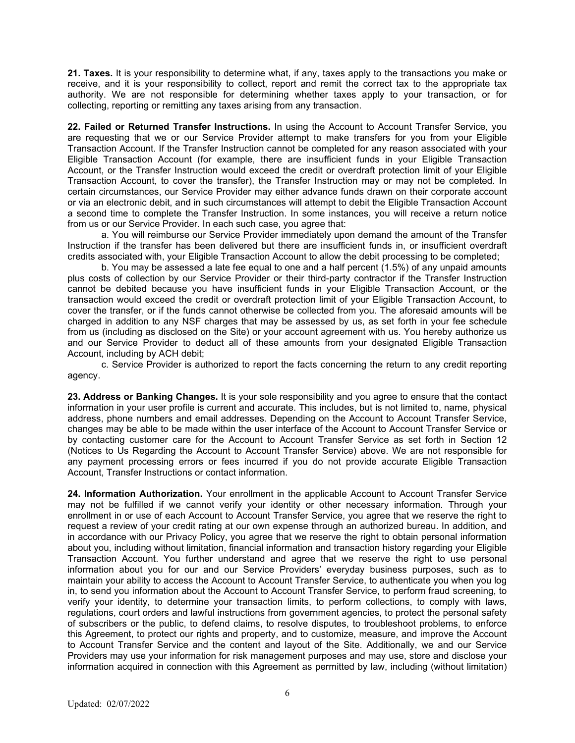**21. Taxes.** It is your responsibility to determine what, if any, taxes apply to the transactions you make or receive, and it is your responsibility to collect, report and remit the correct tax to the appropriate tax authority. We are not responsible for determining whether taxes apply to your transaction, or for collecting, reporting or remitting any taxes arising from any transaction.

**22. Failed or Returned Transfer Instructions.** In using the Account to Account Transfer Service, you are requesting that we or our Service Provider attempt to make transfers for you from your Eligible Transaction Account. If the Transfer Instruction cannot be completed for any reason associated with your Eligible Transaction Account (for example, there are insufficient funds in your Eligible Transaction Account, or the Transfer Instruction would exceed the credit or overdraft protection limit of your Eligible Transaction Account, to cover the transfer), the Transfer Instruction may or may not be completed. In certain circumstances, our Service Provider may either advance funds drawn on their corporate account or via an electronic debit, and in such circumstances will attempt to debit the Eligible Transaction Account a second time to complete the Transfer Instruction. In some instances, you will receive a return notice from us or our Service Provider. In each such case, you agree that:

a. You will reimburse our Service Provider immediately upon demand the amount of the Transfer Instruction if the transfer has been delivered but there are insufficient funds in, or insufficient overdraft credits associated with, your Eligible Transaction Account to allow the debit processing to be completed;

b. You may be assessed a late fee equal to one and a half percent (1.5%) of any unpaid amounts plus costs of collection by our Service Provider or their third-party contractor if the Transfer Instruction cannot be debited because you have insufficient funds in your Eligible Transaction Account, or the transaction would exceed the credit or overdraft protection limit of your Eligible Transaction Account, to cover the transfer, or if the funds cannot otherwise be collected from you. The aforesaid amounts will be charged in addition to any NSF charges that may be assessed by us, as set forth in your fee schedule from us (including as disclosed on the Site) or your account agreement with us. You hereby authorize us and our Service Provider to deduct all of these amounts from your designated Eligible Transaction Account, including by ACH debit;

c. Service Provider is authorized to report the facts concerning the return to any credit reporting agency.

**23. Address or Banking Changes.** It is your sole responsibility and you agree to ensure that the contact information in your user profile is current and accurate. This includes, but is not limited to, name, physical address, phone numbers and email addresses. Depending on the Account to Account Transfer Service, changes may be able to be made within the user interface of the Account to Account Transfer Service or by contacting customer care for the Account to Account Transfer Service as set forth in Section 12 (Notices to Us Regarding the Account to Account Transfer Service) above. We are not responsible for any payment processing errors or fees incurred if you do not provide accurate Eligible Transaction Account, Transfer Instructions or contact information.

**24. Information Authorization.** Your enrollment in the applicable Account to Account Transfer Service may not be fulfilled if we cannot verify your identity or other necessary information. Through your enrollment in or use of each Account to Account Transfer Service, you agree that we reserve the right to request a review of your credit rating at our own expense through an authorized bureau. In addition, and in accordance with our Privacy Policy, you agree that we reserve the right to obtain personal information about you, including without limitation, financial information and transaction history regarding your Eligible Transaction Account. You further understand and agree that we reserve the right to use personal information about you for our and our Service Providers' everyday business purposes, such as to maintain your ability to access the Account to Account Transfer Service, to authenticate you when you log in, to send you information about the Account to Account Transfer Service, to perform fraud screening, to verify your identity, to determine your transaction limits, to perform collections, to comply with laws, regulations, court orders and lawful instructions from government agencies, to protect the personal safety of subscribers or the public, to defend claims, to resolve disputes, to troubleshoot problems, to enforce this Agreement, to protect our rights and property, and to customize, measure, and improve the Account to Account Transfer Service and the content and layout of the Site. Additionally, we and our Service Providers may use your information for risk management purposes and may use, store and disclose your information acquired in connection with this Agreement as permitted by law, including (without limitation)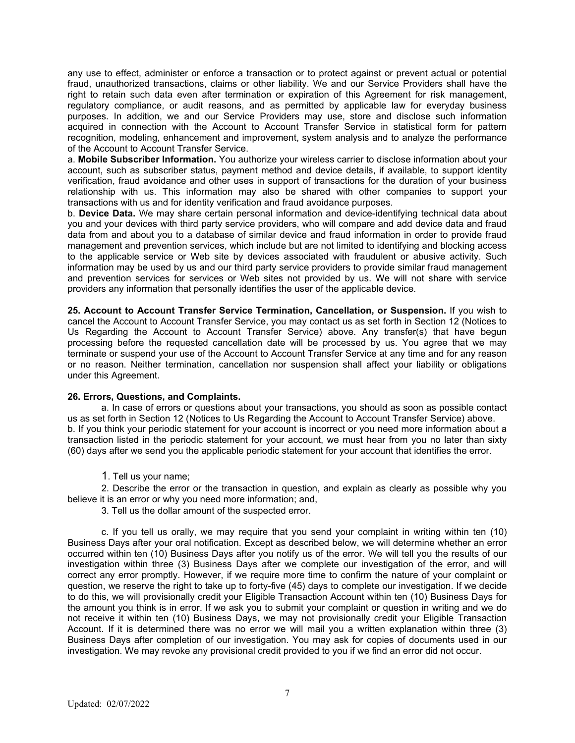any use to effect, administer or enforce a transaction or to protect against or prevent actual or potential fraud, unauthorized transactions, claims or other liability. We and our Service Providers shall have the right to retain such data even after termination or expiration of this Agreement for risk management, regulatory compliance, or audit reasons, and as permitted by applicable law for everyday business purposes. In addition, we and our Service Providers may use, store and disclose such information acquired in connection with the Account to Account Transfer Service in statistical form for pattern recognition, modeling, enhancement and improvement, system analysis and to analyze the performance of the Account to Account Transfer Service.

a. **Mobile Subscriber Information.** You authorize your wireless carrier to disclose information about your account, such as subscriber status, payment method and device details, if available, to support identity verification, fraud avoidance and other uses in support of transactions for the duration of your business relationship with us. This information may also be shared with other companies to support your transactions with us and for identity verification and fraud avoidance purposes.

b. **Device Data.** We may share certain personal information and device-identifying technical data about you and your devices with third party service providers, who will compare and add device data and fraud data from and about you to a database of similar device and fraud information in order to provide fraud management and prevention services, which include but are not limited to identifying and blocking access to the applicable service or Web site by devices associated with fraudulent or abusive activity. Such information may be used by us and our third party service providers to provide similar fraud management and prevention services for services or Web sites not provided by us. We will not share with service providers any information that personally identifies the user of the applicable device.

**25. Account to Account Transfer Service Termination, Cancellation, or Suspension.** If you wish to cancel the Account to Account Transfer Service, you may contact us as set forth in Section 12 (Notices to Us Regarding the Account to Account Transfer Service) above. Any transfer(s) that have begun processing before the requested cancellation date will be processed by us. You agree that we may terminate or suspend your use of the Account to Account Transfer Service at any time and for any reason or no reason. Neither termination, cancellation nor suspension shall affect your liability or obligations under this Agreement.

### **26. Errors, Questions, and Complaints.**

a. In case of errors or questions about your transactions, you should as soon as possible contact us as set forth in Section 12 (Notices to Us Regarding the Account to Account Transfer Service) above. b. If you think your periodic statement for your account is incorrect or you need more information about a transaction listed in the periodic statement for your account, we must hear from you no later than sixty (60) days after we send you the applicable periodic statement for your account that identifies the error.

1. Tell us your name;

2. Describe the error or the transaction in question, and explain as clearly as possible why you believe it is an error or why you need more information; and,

3. Tell us the dollar amount of the suspected error.

c. If you tell us orally, we may require that you send your complaint in writing within ten (10) Business Days after your oral notification. Except as described below, we will determine whether an error occurred within ten (10) Business Days after you notify us of the error. We will tell you the results of our investigation within three (3) Business Days after we complete our investigation of the error, and will correct any error promptly. However, if we require more time to confirm the nature of your complaint or question, we reserve the right to take up to forty-five (45) days to complete our investigation. If we decide to do this, we will provisionally credit your Eligible Transaction Account within ten (10) Business Days for the amount you think is in error. If we ask you to submit your complaint or question in writing and we do not receive it within ten (10) Business Days, we may not provisionally credit your Eligible Transaction Account. If it is determined there was no error we will mail you a written explanation within three (3) Business Days after completion of our investigation. You may ask for copies of documents used in our investigation. We may revoke any provisional credit provided to you if we find an error did not occur.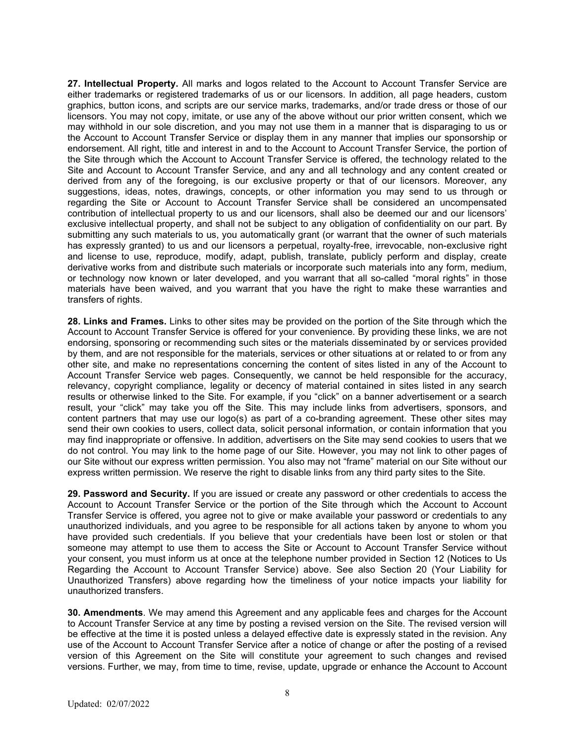**27. Intellectual Property.** All marks and logos related to the Account to Account Transfer Service are either trademarks or registered trademarks of us or our licensors. In addition, all page headers, custom graphics, button icons, and scripts are our service marks, trademarks, and/or trade dress or those of our licensors. You may not copy, imitate, or use any of the above without our prior written consent, which we may withhold in our sole discretion, and you may not use them in a manner that is disparaging to us or the Account to Account Transfer Service or display them in any manner that implies our sponsorship or endorsement. All right, title and interest in and to the Account to Account Transfer Service, the portion of the Site through which the Account to Account Transfer Service is offered, the technology related to the Site and Account to Account Transfer Service, and any and all technology and any content created or derived from any of the foregoing, is our exclusive property or that of our licensors. Moreover, any suggestions, ideas, notes, drawings, concepts, or other information you may send to us through or regarding the Site or Account to Account Transfer Service shall be considered an uncompensated contribution of intellectual property to us and our licensors, shall also be deemed our and our licensors' exclusive intellectual property, and shall not be subject to any obligation of confidentiality on our part. By submitting any such materials to us, you automatically grant (or warrant that the owner of such materials has expressly granted) to us and our licensors a perpetual, royalty-free, irrevocable, non-exclusive right and license to use, reproduce, modify, adapt, publish, translate, publicly perform and display, create derivative works from and distribute such materials or incorporate such materials into any form, medium, or technology now known or later developed, and you warrant that all so-called "moral rights" in those materials have been waived, and you warrant that you have the right to make these warranties and transfers of rights.

**28. Links and Frames.** Links to other sites may be provided on the portion of the Site through which the Account to Account Transfer Service is offered for your convenience. By providing these links, we are not endorsing, sponsoring or recommending such sites or the materials disseminated by or services provided by them, and are not responsible for the materials, services or other situations at or related to or from any other site, and make no representations concerning the content of sites listed in any of the Account to Account Transfer Service web pages. Consequently, we cannot be held responsible for the accuracy, relevancy, copyright compliance, legality or decency of material contained in sites listed in any search results or otherwise linked to the Site. For example, if you "click" on a banner advertisement or a search result, your "click" may take you off the Site. This may include links from advertisers, sponsors, and content partners that may use our logo(s) as part of a co-branding agreement. These other sites may send their own cookies to users, collect data, solicit personal information, or contain information that you may find inappropriate or offensive. In addition, advertisers on the Site may send cookies to users that we do not control. You may link to the home page of our Site. However, you may not link to other pages of our Site without our express written permission. You also may not "frame" material on our Site without our express written permission. We reserve the right to disable links from any third party sites to the Site.

**29. Password and Security.** If you are issued or create any password or other credentials to access the Account to Account Transfer Service or the portion of the Site through which the Account to Account Transfer Service is offered, you agree not to give or make available your password or credentials to any unauthorized individuals, and you agree to be responsible for all actions taken by anyone to whom you have provided such credentials. If you believe that your credentials have been lost or stolen or that someone may attempt to use them to access the Site or Account to Account Transfer Service without your consent, you must inform us at once at the telephone number provided in Section 12 (Notices to Us Regarding the Account to Account Transfer Service) above. See also Section 20 (Your Liability for Unauthorized Transfers) above regarding how the timeliness of your notice impacts your liability for unauthorized transfers.

**30. Amendments**. We may amend this Agreement and any applicable fees and charges for the Account to Account Transfer Service at any time by posting a revised version on the Site. The revised version will be effective at the time it is posted unless a delayed effective date is expressly stated in the revision. Any use of the Account to Account Transfer Service after a notice of change or after the posting of a revised version of this Agreement on the Site will constitute your agreement to such changes and revised versions. Further, we may, from time to time, revise, update, upgrade or enhance the Account to Account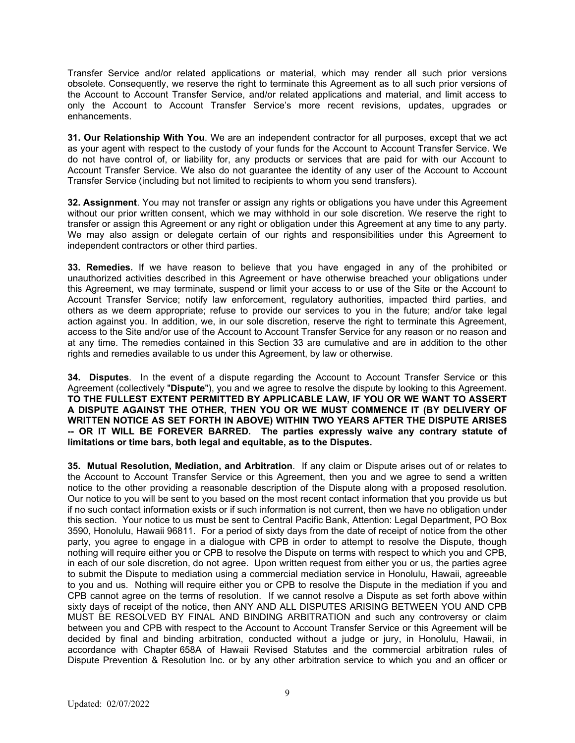Transfer Service and/or related applications or material, which may render all such prior versions obsolete. Consequently, we reserve the right to terminate this Agreement as to all such prior versions of the Account to Account Transfer Service, and/or related applications and material, and limit access to only the Account to Account Transfer Service's more recent revisions, updates, upgrades or enhancements.

**31. Our Relationship With You**. We are an independent contractor for all purposes, except that we act as your agent with respect to the custody of your funds for the Account to Account Transfer Service. We do not have control of, or liability for, any products or services that are paid for with our Account to Account Transfer Service. We also do not guarantee the identity of any user of the Account to Account Transfer Service (including but not limited to recipients to whom you send transfers).

**32. Assignment**. You may not transfer or assign any rights or obligations you have under this Agreement without our prior written consent, which we may withhold in our sole discretion. We reserve the right to transfer or assign this Agreement or any right or obligation under this Agreement at any time to any party. We may also assign or delegate certain of our rights and responsibilities under this Agreement to independent contractors or other third parties.

**33. Remedies.** If we have reason to believe that you have engaged in any of the prohibited or unauthorized activities described in this Agreement or have otherwise breached your obligations under this Agreement, we may terminate, suspend or limit your access to or use of the Site or the Account to Account Transfer Service; notify law enforcement, regulatory authorities, impacted third parties, and others as we deem appropriate; refuse to provide our services to you in the future; and/or take legal action against you. In addition, we, in our sole discretion, reserve the right to terminate this Agreement, access to the Site and/or use of the Account to Account Transfer Service for any reason or no reason and at any time. The remedies contained in this Section 33 are cumulative and are in addition to the other rights and remedies available to us under this Agreement, by law or otherwise.

**34. Disputes**. In the event of a dispute regarding the Account to Account Transfer Service or this Agreement (collectively "**Dispute**"), you and we agree to resolve the dispute by looking to this Agreement. **TO THE FULLEST EXTENT PERMITTED BY APPLICABLE LAW, IF YOU OR WE WANT TO ASSERT A DISPUTE AGAINST THE OTHER, THEN YOU OR WE MUST COMMENCE IT (BY DELIVERY OF WRITTEN NOTICE AS SET FORTH IN ABOVE) WITHIN TWO YEARS AFTER THE DISPUTE ARISES -- OR IT WILL BE FOREVER BARRED. The parties expressly waive any contrary statute of limitations or time bars, both legal and equitable, as to the Disputes.** 

**35. Mutual Resolution, Mediation, and Arbitration**. If any claim or Dispute arises out of or relates to the Account to Account Transfer Service or this Agreement, then you and we agree to send a written notice to the other providing a reasonable description of the Dispute along with a proposed resolution. Our notice to you will be sent to you based on the most recent contact information that you provide us but if no such contact information exists or if such information is not current, then we have no obligation under this section. Your notice to us must be sent to Central Pacific Bank, Attention: Legal Department, PO Box 3590, Honolulu, Hawaii 96811. For a period of sixty days from the date of receipt of notice from the other party, you agree to engage in a dialogue with CPB in order to attempt to resolve the Dispute, though nothing will require either you or CPB to resolve the Dispute on terms with respect to which you and CPB, in each of our sole discretion, do not agree. Upon written request from either you or us, the parties agree to submit the Dispute to mediation using a commercial mediation service in Honolulu, Hawaii, agreeable to you and us. Nothing will require either you or CPB to resolve the Dispute in the mediation if you and CPB cannot agree on the terms of resolution. If we cannot resolve a Dispute as set forth above within sixty days of receipt of the notice, then ANY AND ALL DISPUTES ARISING BETWEEN YOU AND CPB MUST BE RESOLVED BY FINAL AND BINDING ARBITRATION and such any controversy or claim between you and CPB with respect to the Account to Account Transfer Service or this Agreement will be decided by final and binding arbitration, conducted without a judge or jury, in Honolulu, Hawaii, in accordance with Chapter 658A of Hawaii Revised Statutes and the commercial arbitration rules of Dispute Prevention & Resolution Inc. or by any other arbitration service to which you and an officer or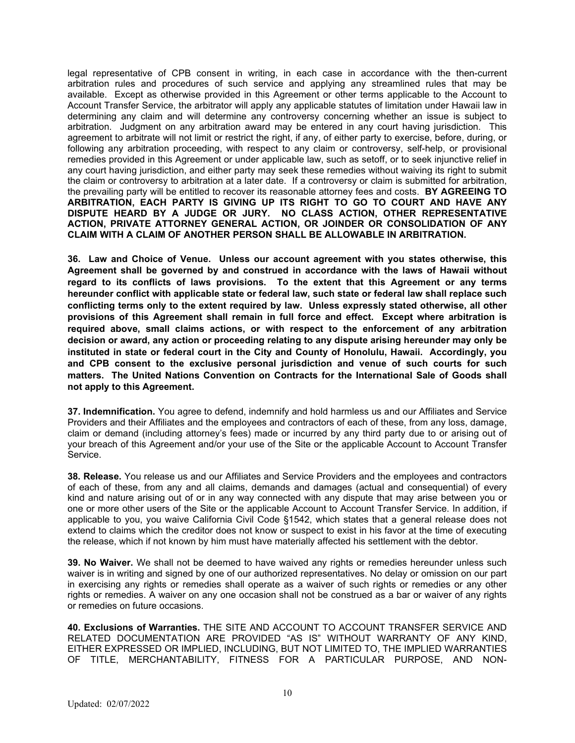legal representative of CPB consent in writing, in each case in accordance with the then-current arbitration rules and procedures of such service and applying any streamlined rules that may be available. Except as otherwise provided in this Agreement or other terms applicable to the Account to Account Transfer Service, the arbitrator will apply any applicable statutes of limitation under Hawaii law in determining any claim and will determine any controversy concerning whether an issue is subject to arbitration. Judgment on any arbitration award may be entered in any court having jurisdiction. This agreement to arbitrate will not limit or restrict the right, if any, of either party to exercise, before, during, or following any arbitration proceeding, with respect to any claim or controversy, self-help, or provisional remedies provided in this Agreement or under applicable law, such as setoff, or to seek injunctive relief in any court having jurisdiction, and either party may seek these remedies without waiving its right to submit the claim or controversy to arbitration at a later date. If a controversy or claim is submitted for arbitration, the prevailing party will be entitled to recover its reasonable attorney fees and costs. **BY AGREEING TO ARBITRATION, EACH PARTY IS GIVING UP ITS RIGHT TO GO TO COURT AND HAVE ANY DISPUTE HEARD BY A JUDGE OR JURY. NO CLASS ACTION, OTHER REPRESENTATIVE ACTION, PRIVATE ATTORNEY GENERAL ACTION, OR JOINDER OR CONSOLIDATION OF ANY CLAIM WITH A CLAIM OF ANOTHER PERSON SHALL BE ALLOWABLE IN ARBITRATION.**

**36. Law and Choice of Venue. Unless our account agreement with you states otherwise, this Agreement shall be governed by and construed in accordance with the laws of Hawaii without regard to its conflicts of laws provisions. To the extent that this Agreement or any terms hereunder conflict with applicable state or federal law, such state or federal law shall replace such conflicting terms only to the extent required by law. Unless expressly stated otherwise, all other provisions of this Agreement shall remain in full force and effect. Except where arbitration is required above, small claims actions, or with respect to the enforcement of any arbitration decision or award, any action or proceeding relating to any dispute arising hereunder may only be instituted in state or federal court in the City and County of Honolulu, Hawaii. Accordingly, you and CPB consent to the exclusive personal jurisdiction and venue of such courts for such matters. The United Nations Convention on Contracts for the International Sale of Goods shall not apply to this Agreement.**

**37. Indemnification.** You agree to defend, indemnify and hold harmless us and our Affiliates and Service Providers and their Affiliates and the employees and contractors of each of these, from any loss, damage, claim or demand (including attorney's fees) made or incurred by any third party due to or arising out of your breach of this Agreement and/or your use of the Site or the applicable Account to Account Transfer Service.

**38. Release.** You release us and our Affiliates and Service Providers and the employees and contractors of each of these, from any and all claims, demands and damages (actual and consequential) of every kind and nature arising out of or in any way connected with any dispute that may arise between you or one or more other users of the Site or the applicable Account to Account Transfer Service. In addition, if applicable to you, you waive California Civil Code §1542, which states that a general release does not extend to claims which the creditor does not know or suspect to exist in his favor at the time of executing the release, which if not known by him must have materially affected his settlement with the debtor.

**39. No Waiver.** We shall not be deemed to have waived any rights or remedies hereunder unless such waiver is in writing and signed by one of our authorized representatives. No delay or omission on our part in exercising any rights or remedies shall operate as a waiver of such rights or remedies or any other rights or remedies. A waiver on any one occasion shall not be construed as a bar or waiver of any rights or remedies on future occasions.

**40. Exclusions of Warranties.** THE SITE AND ACCOUNT TO ACCOUNT TRANSFER SERVICE AND RELATED DOCUMENTATION ARE PROVIDED "AS IS" WITHOUT WARRANTY OF ANY KIND, EITHER EXPRESSED OR IMPLIED, INCLUDING, BUT NOT LIMITED TO, THE IMPLIED WARRANTIES OF TITLE, MERCHANTABILITY, FITNESS FOR A PARTICULAR PURPOSE, AND NON-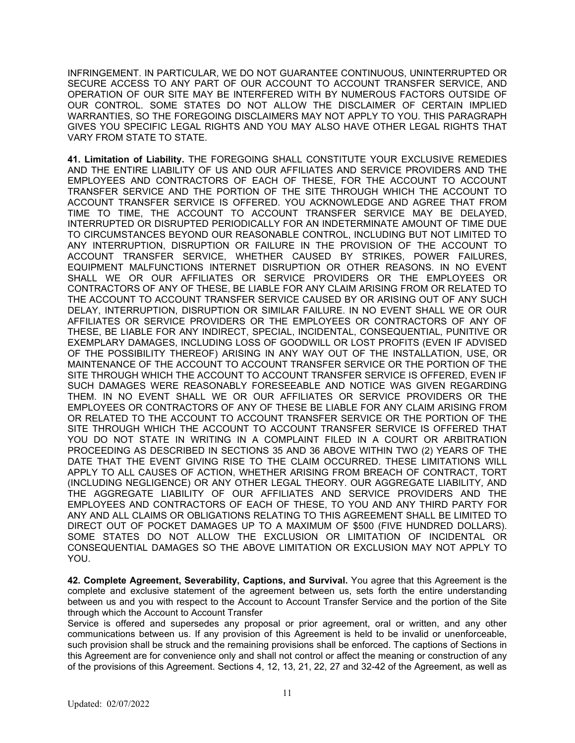INFRINGEMENT. IN PARTICULAR, WE DO NOT GUARANTEE CONTINUOUS, UNINTERRUPTED OR SECURE ACCESS TO ANY PART OF OUR ACCOUNT TO ACCOUNT TRANSFER SERVICE, AND OPERATION OF OUR SITE MAY BE INTERFERED WITH BY NUMEROUS FACTORS OUTSIDE OF OUR CONTROL. SOME STATES DO NOT ALLOW THE DISCLAIMER OF CERTAIN IMPLIED WARRANTIES, SO THE FOREGOING DISCLAIMERS MAY NOT APPLY TO YOU. THIS PARAGRAPH GIVES YOU SPECIFIC LEGAL RIGHTS AND YOU MAY ALSO HAVE OTHER LEGAL RIGHTS THAT VARY FROM STATE TO STATE.

**41. Limitation of Liability.** THE FOREGOING SHALL CONSTITUTE YOUR EXCLUSIVE REMEDIES AND THE ENTIRE LIABILITY OF US AND OUR AFFILIATES AND SERVICE PROVIDERS AND THE EMPLOYEES AND CONTRACTORS OF EACH OF THESE, FOR THE ACCOUNT TO ACCOUNT TRANSFER SERVICE AND THE PORTION OF THE SITE THROUGH WHICH THE ACCOUNT TO ACCOUNT TRANSFER SERVICE IS OFFERED. YOU ACKNOWLEDGE AND AGREE THAT FROM TIME TO TIME, THE ACCOUNT TO ACCOUNT TRANSFER SERVICE MAY BE DELAYED, INTERRUPTED OR DISRUPTED PERIODICALLY FOR AN INDETERMINATE AMOUNT OF TIME DUE TO CIRCUMSTANCES BEYOND OUR REASONABLE CONTROL, INCLUDING BUT NOT LIMITED TO ANY INTERRUPTION, DISRUPTION OR FAILURE IN THE PROVISION OF THE ACCOUNT TO ACCOUNT TRANSFER SERVICE, WHETHER CAUSED BY STRIKES, POWER FAILURES, EQUIPMENT MALFUNCTIONS INTERNET DISRUPTION OR OTHER REASONS. IN NO EVENT SHALL WE OR OUR AFFILIATES OR SERVICE PROVIDERS OR THE EMPLOYEES OR CONTRACTORS OF ANY OF THESE, BE LIABLE FOR ANY CLAIM ARISING FROM OR RELATED TO THE ACCOUNT TO ACCOUNT TRANSFER SERVICE CAUSED BY OR ARISING OUT OF ANY SUCH DELAY, INTERRUPTION, DISRUPTION OR SIMILAR FAILURE. IN NO EVENT SHALL WE OR OUR AFFILIATES OR SERVICE PROVIDERS OR THE EMPLOYEES OR CONTRACTORS OF ANY OF THESE, BE LIABLE FOR ANY INDIRECT, SPECIAL, INCIDENTAL, CONSEQUENTIAL, PUNITIVE OR EXEMPLARY DAMAGES, INCLUDING LOSS OF GOODWILL OR LOST PROFITS (EVEN IF ADVISED OF THE POSSIBILITY THEREOF) ARISING IN ANY WAY OUT OF THE INSTALLATION, USE, OR MAINTENANCE OF THE ACCOUNT TO ACCOUNT TRANSFER SERVICE OR THE PORTION OF THE SITE THROUGH WHICH THE ACCOUNT TO ACCOUNT TRANSFER SERVICE IS OFFERED, EVEN IF SUCH DAMAGES WERE REASONABLY FORESEEABLE AND NOTICE WAS GIVEN REGARDING THEM. IN NO EVENT SHALL WE OR OUR AFFILIATES OR SERVICE PROVIDERS OR THE EMPLOYEES OR CONTRACTORS OF ANY OF THESE BE LIABLE FOR ANY CLAIM ARISING FROM OR RELATED TO THE ACCOUNT TO ACCOUNT TRANSFER SERVICE OR THE PORTION OF THE SITE THROUGH WHICH THE ACCOUNT TO ACCOUNT TRANSFER SERVICE IS OFFERED THAT YOU DO NOT STATE IN WRITING IN A COMPLAINT FILED IN A COURT OR ARBITRATION PROCEEDING AS DESCRIBED IN SECTIONS 35 AND 36 ABOVE WITHIN TWO (2) YEARS OF THE DATE THAT THE EVENT GIVING RISE TO THE CLAIM OCCURRED. THESE LIMITATIONS WILL APPLY TO ALL CAUSES OF ACTION, WHETHER ARISING FROM BREACH OF CONTRACT, TORT (INCLUDING NEGLIGENCE) OR ANY OTHER LEGAL THEORY. OUR AGGREGATE LIABILITY, AND THE AGGREGATE LIABILITY OF OUR AFFILIATES AND SERVICE PROVIDERS AND THE EMPLOYEES AND CONTRACTORS OF EACH OF THESE, TO YOU AND ANY THIRD PARTY FOR ANY AND ALL CLAIMS OR OBLIGATIONS RELATING TO THIS AGREEMENT SHALL BE LIMITED TO DIRECT OUT OF POCKET DAMAGES UP TO A MAXIMUM OF \$500 (FIVE HUNDRED DOLLARS). SOME STATES DO NOT ALLOW THE EXCLUSION OR LIMITATION OF INCIDENTAL OR CONSEQUENTIAL DAMAGES SO THE ABOVE LIMITATION OR EXCLUSION MAY NOT APPLY TO YOU.

**42. Complete Agreement, Severability, Captions, and Survival.** You agree that this Agreement is the complete and exclusive statement of the agreement between us, sets forth the entire understanding between us and you with respect to the Account to Account Transfer Service and the portion of the Site through which the Account to Account Transfer

Service is offered and supersedes any proposal or prior agreement, oral or written, and any other communications between us. If any provision of this Agreement is held to be invalid or unenforceable, such provision shall be struck and the remaining provisions shall be enforced. The captions of Sections in this Agreement are for convenience only and shall not control or affect the meaning or construction of any of the provisions of this Agreement. Sections 4, 12, 13, 21, 22, 27 and 32-42 of the Agreement, as well as